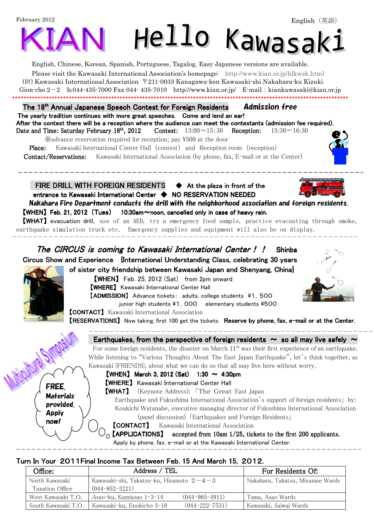# February 2012 Hello Kawasaki

English, Chinese, Korean, Spanish, Portuguese, Tagalog, Easy Japanese versions are available. Please visit the Kawasaki International Association's homepage: http://www.kian.or.jp/hlkwsk.html (財) Kawasaki International Association 〒211-0033 Kanagawa-ken Kawasaki-shi Nakahara-ku Kizuki Gion-cho  $2-2$   $\text{Im } 044$ -435-7000 Fax 044-435-7010 http://www.kian.or.jp/ E-mail: kiankawasaki@kian.or.jp

The 18<sup>th</sup> Annual Japanese Speech Contest for Foreign Residents **Admission free** The yearly tradition continues with more great speeches. Come and lend an ear! After the contest there will be a reception where the audience can meet the contestants (admission fee required). Date and Time: Saturday February 18<sup>th</sup>, 2012 Contest:  $13:00 \sim 15:30$  Reception:  $15:30 \sim 16:30$ 

 ※advance reservation required for reception; pay \500 at the door Place: Kawasaki International Center Hall (contest) and Reception room (reception) **Contact/Reservations:** Kawasaki International Association (by phone, fax, E-mail or at the Center)

FIRE DRILL WITH FOREIGN RESIDENTS  $\blacklozenge$  At the plaza in front of the entrance to Kawasaki International Center ♦ NO RESERVATION NEEDED

Nakahara Fire Department conducts the drill with the neighborhood association and foreign residents.  $[WHEN]$  Feb. 21, 2012 (Tues) 10:30am $\sim$ noon, cancelled only in case of heavy rain.

【WHAT】 evacuation drill, use of an AED, try a emergency food sample, practice evacuating through smoke, earthquake simulation truck etc. Emergency supplies and equipment will also be on display.  $\overline{\phantom{a}}$ 

The CIRCUS is coming to Kawasaki International Center!! Shinba Circus Show and Experience {International Understanding Class, celebrating 30 years of sister city friendship between Kawasaki Japan and Shenyang, China}

 【WHEN】 Feb. 25, 2012 (Sat) from 2pm onward 【WHERE】 Kawasaki International Center Hall **[ADMISSION]** Advance tickets: adults, college students \\$1,500

junior high students ¥1, 000 elementary students ¥500

**[CONTACT]** Kawasaki International Association

**[RESERVATIONS]** Now taking; first 100 get the tickets. Reserve by phone, fax, e-mail or at the Center.  $\overline{a}$ 

### Earthquakes, from the perspective of foreign residents  $\sim$  so all may live safely  $\sim$

For some foreign residents, the disaster on March  $11<sup>th</sup>$  was their first experience of an earthquake. While listening to "Various Thoughts About The East Japan Earthquake", let's think together, as Kawasaki {FRIENDS}, about what we can do so that all may live here without worry.

FREE. **Materials** provided. Apply now!

 $\overline{\phantom{a}}$ 

**[WHEN]** March 3, 2012 (Sat)  $1:30 \sim 4:30$ pm 【WHERE】 Kawasaki International Center Hall

【WHAT】 (Keynote Address): 「The Great East Japan

 Earthquake and Fukushima International Association's support of foreign residents」 by: Koukichi Watanabe, executive managing director of Fukushima International Association (panel discussion) 「Earthquakes and Foreign Residents」

**[CONTACT]** Kawasaki International Association

 $\mathcal{A}_{\Omega}$  **[APPLICATIONS]** accepted from 10am 1/25, tickets to the first 200 applicants.

Apply by phone, fax, e-mail or at the Kawasaki International Center.

## Turn In Your 2011 Final Income Tax Between Feb. 15 And March 15, 2012.

| Office:             | Address / TEL                              | For Residents Of:                |                        |
|---------------------|--------------------------------------------|----------------------------------|------------------------|
| North Kawasaki      | Kawasaki-shi, Takatsu-ku, Hisamoto $2-4-3$ | Nakahara, Takatsu, Miyamae Wards |                        |
| Taxation Office     | $(044 - 852 - 3221)$                       |                                  |                        |
| West Kawasaki T.O.  | Asao-ku, Kamiasao 1-3-14                   | $(044 - 965 - 4911)$             | Tama, Asao Wards       |
| South Kawasaki T.O. | Kawasaki-ku, Enokicho 3-18                 | $(044 - 222 - 7531)$             | Kawasaki, Saiwai Wards |